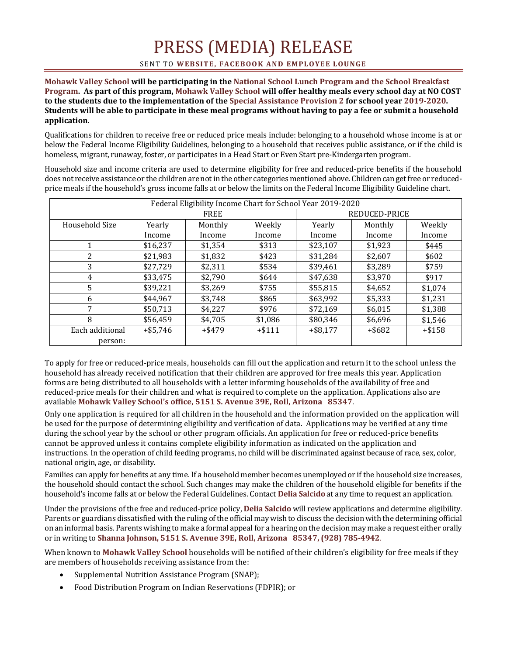## PRESS (MEDIA) RELEASE

## SENT TO WEBSITE, FACEBOOK AND EMPLOYEE LOUNGE

**Mohawk Valley School will be participating in the National School Lunch Program and the School Breakfast Program. As part of this program, Mohawk Valley School will offer healthy meals every school day at NO COST to the students due to the implementation of the Special Assistance Provision 2 for school year 2019-2020. Students will be able to participate in these meal programs without having to pay a fee or submit a household application.** 

Qualifications for children to receive free or reduced price meals include: belonging to a household whose income is at or below the Federal Income Eligibility Guidelines, belonging to a household that receives public assistance, or if the child is homeless, migrant, runaway, foster, or participates in a Head Start or Even Start pre-Kindergarten program.

Household size and income criteria are used to determine eligibility for free and reduced-price benefits if the household does not receive assistance or the children are not in the other categories mentioned above. Children can get free or reducedprice meals if the household's gross income falls at or below the limits on the Federal Income Eligibility Guideline chart.

| Federal Eligibility Income Chart for School Year 2019-2020 |             |           |          |               |           |          |
|------------------------------------------------------------|-------------|-----------|----------|---------------|-----------|----------|
|                                                            | <b>FREE</b> |           |          | REDUCED-PRICE |           |          |
| Household Size                                             | Yearly      | Monthly   | Weekly   | Yearly        | Monthly   | Weekly   |
|                                                            | Income      | Income    | Income   | Income        | Income    | Income   |
|                                                            | \$16,237    | \$1,354   | \$313    | \$23,107      | \$1,923   | \$445    |
| 2                                                          | \$21,983    | \$1,832   | \$423    | \$31,284      | \$2,607   | \$602    |
| 3                                                          | \$27,729    | \$2,311   | \$534    | \$39,461      | \$3,289   | \$759    |
| 4                                                          | \$33,475    | \$2,790   | \$644    | \$47,638      | \$3,970   | \$917    |
| 5                                                          | \$39,221    | \$3,269   | \$755    | \$55,815      | \$4,652   | \$1,074  |
| 6                                                          | \$44.967    | \$3,748   | \$865    | \$63,992      | \$5,333   | \$1,231  |
| 7                                                          | \$50,713    | \$4,227   | \$976    | \$72,169      | \$6,015   | \$1,388  |
| 8                                                          | \$56,459    | \$4,705   | \$1,086  | \$80,346      | \$6,696   | \$1,546  |
| Each additional                                            | $+ $5,746$  | $+$ \$479 | $+ $111$ | $+$ \$8.177   | $+$ \$682 | $+ $158$ |
| person:                                                    |             |           |          |               |           |          |

To apply for free or reduced-price meals, households can fill out the application and return it to the school unless the household has already received notification that their children are approved for free meals this year. Application forms are being distributed to all households with a letter informing households of the availability of free and reduced-price meals for their children and what is required to complete on the application. Applications also are available **Mohawk Valley School's office, 5151 S. Avenue 39E, Roll, Arizona 85347**.

Only one application is required for all children in the household and the information provided on the application will be used for the purpose of determining eligibility and verification of data. Applications may be verified at any time during the school year by the school or other program officials. An application for free or reduced-price benefits cannot be approved unless it contains complete eligibility information as indicated on the application and instructions. In the operation of child feeding programs, no child will be discriminated against because of race, sex, color, national origin, age, or disability.

Families can apply for benefits at any time. If a household member becomes unemployed or if the household size increases, the household should contact the school. Such changes may make the children of the household eligible for benefits if the household's income falls at or below the Federal Guidelines. Contact **Delia Salcido** at any time to request an application.

Under the provisions of the free and reduced-price policy, **Delia Salcido** will review applications and determine eligibility. Parents or guardians dissatisfied with the ruling of the official may wish to discuss the decision with the determining official on an informal basis. Parents wishing to make a formal appeal for a hearing on the decision may make a request either orally or in writing to **Shanna Johnson, 5151 S. Avenue 39E, Roll, Arizona 85347, (928) 785-4942**.

When known to **Mohawk Valley School** households will be notified of their children's eligibility for free meals if they are members of households receiving assistance from the:

- Supplemental Nutrition Assistance Program (SNAP);
- Food Distribution Program on Indian Reservations (FDPIR); or